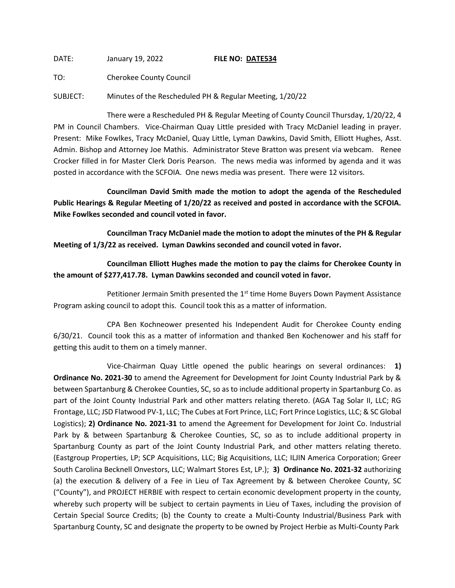DATE: January 19, 2022 **FILE NO: DATE534**

TO: Cherokee County Council

SUBJECT: Minutes of the Rescheduled PH & Regular Meeting, 1/20/22

There were a Rescheduled PH & Regular Meeting of County Council Thursday, 1/20/22, 4 PM in Council Chambers. Vice-Chairman Quay Little presided with Tracy McDaniel leading in prayer. Present: Mike Fowlkes, Tracy McDaniel, Quay Little, Lyman Dawkins, David Smith, Elliott Hughes, Asst. Admin. Bishop and Attorney Joe Mathis. Administrator Steve Bratton was present via webcam. Renee Crocker filled in for Master Clerk Doris Pearson. The news media was informed by agenda and it was posted in accordance with the SCFOIA. One news media was present. There were 12 visitors.

**Councilman David Smith made the motion to adopt the agenda of the Rescheduled Public Hearings & Regular Meeting of 1/20/22 as received and posted in accordance with the SCFOIA. Mike Fowlkes seconded and council voted in favor.**

**Councilman Tracy McDaniel made the motion to adopt the minutes of the PH & Regular Meeting of 1/3/22 as received. Lyman Dawkins seconded and council voted in favor.**

**Councilman Elliott Hughes made the motion to pay the claims for Cherokee County in the amount of \$277,417.78. Lyman Dawkins seconded and council voted in favor.**

Petitioner Jermain Smith presented the  $1<sup>st</sup>$  time Home Buyers Down Payment Assistance Program asking council to adopt this. Council took this as a matter of information.

CPA Ben Kochneower presented his Independent Audit for Cherokee County ending 6/30/21. Council took this as a matter of information and thanked Ben Kochenower and his staff for getting this audit to them on a timely manner.

Vice-Chairman Quay Little opened the public hearings on several ordinances: **1) Ordinance No. 2021-30** to amend the Agreement for Development for Joint County Industrial Park by & between Spartanburg & Cherokee Counties, SC, so as to include additional property in Spartanburg Co. as part of the Joint County Industrial Park and other matters relating thereto. (AGA Tag Solar II, LLC; RG Frontage, LLC; JSD Flatwood PV-1, LLC; The Cubes at Fort Prince, LLC; Fort Prince Logistics, LLC; & SC Global Logistics); **2) Ordinance No. 2021-31** to amend the Agreement for Development for Joint Co. Industrial Park by & between Spartanburg & Cherokee Counties, SC, so as to include additional property in Spartanburg County as part of the Joint County Industrial Park, and other matters relating thereto. (Eastgroup Properties, LP; SCP Acquisitions, LLC; Big Acquisitions, LLC; ILJIN America Corporation; Greer South Carolina Becknell Onvestors, LLC; Walmart Stores Est, LP.); **3) Ordinance No. 2021-32** authorizing (a) the execution & delivery of a Fee in Lieu of Tax Agreement by & between Cherokee County, SC ("County"), and PROJECT HERBIE with respect to certain economic development property in the county, whereby such property will be subject to certain payments in Lieu of Taxes, including the provision of Certain Special Source Credits; (b) the County to create a Multi-County Industrial/Business Park with Spartanburg County, SC and designate the property to be owned by Project Herbie as Multi-County Park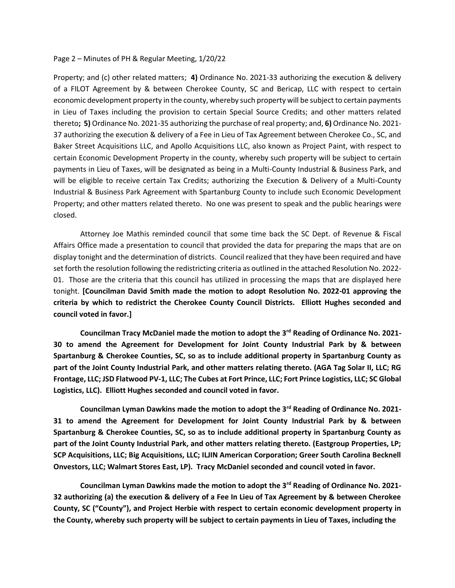## Page 2 – Minutes of PH & Regular Meeting, 1/20/22

Property; and (c) other related matters; **4)** Ordinance No. 2021-33 authorizing the execution & delivery of a FILOT Agreement by & between Cherokee County, SC and Bericap, LLC with respect to certain economic development property in the county, whereby such property will be subject to certain payments in Lieu of Taxes including the provision to certain Special Source Credits; and other matters related thereto**; 5)** Ordinance No. 2021-35 authorizing the purchase of real property; and, **6)** Ordinance No. 2021- 37 authorizing the execution & delivery of a Fee in Lieu of Tax Agreement between Cherokee Co., SC, and Baker Street Acquisitions LLC, and Apollo Acquisitions LLC, also known as Project Paint, with respect to certain Economic Development Property in the county, whereby such property will be subject to certain payments in Lieu of Taxes, will be designated as being in a Multi-County Industrial & Business Park, and will be eligible to receive certain Tax Credits; authorizing the Execution & Delivery of a Multi-County Industrial & Business Park Agreement with Spartanburg County to include such Economic Development Property; and other matters related thereto. No one was present to speak and the public hearings were closed.

Attorney Joe Mathis reminded council that some time back the SC Dept. of Revenue & Fiscal Affairs Office made a presentation to council that provided the data for preparing the maps that are on display tonight and the determination of districts. Council realized that they have been required and have set forth the resolution following the redistricting criteria as outlined in the attached Resolution No. 2022- 01. Those are the criteria that this council has utilized in processing the maps that are displayed here tonight. **[Councilman David Smith made the motion to adopt Resolution No. 2022-01 approving the criteria by which to redistrict the Cherokee County Council Districts. Elliott Hughes seconded and council voted in favor.]**

**Councilman Tracy McDaniel made the motion to adopt the 3rd Reading of Ordinance No. 2021- 30 to amend the Agreement for Development for Joint County Industrial Park by & between Spartanburg & Cherokee Counties, SC, so as to include additional property in Spartanburg County as part of the Joint County Industrial Park, and other matters relating thereto. (AGA Tag Solar II, LLC; RG Frontage, LLC; JSD Flatwood PV-1, LLC; The Cubes at Fort Prince, LLC; Fort Prince Logistics, LLC; SC Global Logistics, LLC). Elliott Hughes seconded and council voted in favor.**

**Councilman Lyman Dawkins made the motion to adopt the 3rd Reading of Ordinance No. 2021- 31 to amend the Agreement for Development for Joint County Industrial Park by & between Spartanburg & Cherokee Counties, SC, so as to include additional property in Spartanburg County as part of the Joint County Industrial Park, and other matters relating thereto. (Eastgroup Properties, LP; SCP Acquisitions, LLC; Big Acquisitions, LLC; ILJIN American Corporation; Greer South Carolina Becknell Onvestors, LLC; Walmart Stores East, LP). Tracy McDaniel seconded and council voted in favor.**

**Councilman Lyman Dawkins made the motion to adopt the 3rd Reading of Ordinance No. 2021- 32 authorizing (a) the execution & delivery of a Fee In Lieu of Tax Agreement by & between Cherokee County, SC ("County"), and Project Herbie with respect to certain economic development property in the County, whereby such property will be subject to certain payments in Lieu of Taxes, including the**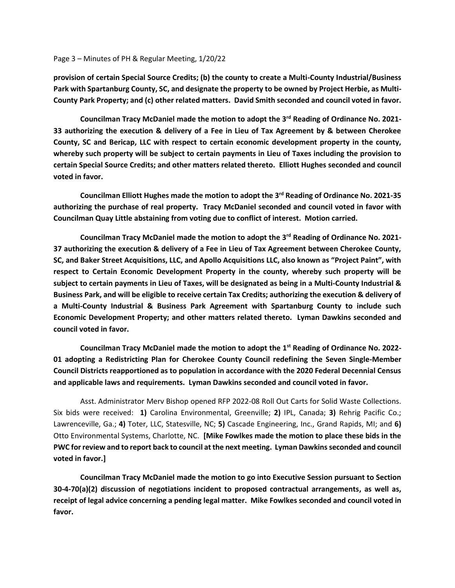## Page 3 – Minutes of PH & Regular Meeting, 1/20/22

**provision of certain Special Source Credits; (b) the county to create a Multi-County Industrial/Business Park with Spartanburg County, SC, and designate the property to be owned by Project Herbie, as Multi-County Park Property; and (c) other related matters. David Smith seconded and council voted in favor.**

**Councilman Tracy McDaniel made the motion to adopt the 3rd Reading of Ordinance No. 2021- 33 authorizing the execution & delivery of a Fee in Lieu of Tax Agreement by & between Cherokee County, SC and Bericap, LLC with respect to certain economic development property in the county, whereby such property will be subject to certain payments in Lieu of Taxes including the provision to certain Special Source Credits; and other matters related thereto. Elliott Hughes seconded and council voted in favor.**

**Councilman Elliott Hughes made the motion to adopt the 3rd Reading of Ordinance No. 2021-35 authorizing the purchase of real property. Tracy McDaniel seconded and council voted in favor with Councilman Quay Little abstaining from voting due to conflict of interest. Motion carried.**

**Councilman Tracy McDaniel made the motion to adopt the 3rd Reading of Ordinance No. 2021- 37 authorizing the execution & delivery of a Fee in Lieu of Tax Agreement between Cherokee County, SC, and Baker Street Acquisitions, LLC, and Apollo Acquisitions LLC, also known as "Project Paint", with respect to Certain Economic Development Property in the county, whereby such property will be subject to certain payments in Lieu of Taxes, will be designated as being in a Multi-County Industrial & Business Park, and will be eligible to receive certain Tax Credits; authorizing the execution & delivery of a Multi-County Industrial & Business Park Agreement with Spartanburg County to include such Economic Development Property; and other matters related thereto. Lyman Dawkins seconded and council voted in favor.**

**Councilman Tracy McDaniel made the motion to adopt the 1st Reading of Ordinance No. 2022- 01 adopting a Redistricting Plan for Cherokee County Council redefining the Seven Single-Member Council Districts reapportioned as to population in accordance with the 2020 Federal Decennial Census and applicable laws and requirements. Lyman Dawkins seconded and council voted in favor.**

Asst. Administrator Merv Bishop opened RFP 2022-08 Roll Out Carts for Solid Waste Collections. Six bids were received: **1)** Carolina Environmental, Greenville; **2)** IPL, Canada; **3)** Rehrig Pacific Co.; Lawrenceville, Ga.; **4)** Toter, LLC, Statesville, NC; **5)** Cascade Engineering, Inc., Grand Rapids, MI; and **6)** Otto Environmental Systems, Charlotte, NC. **[Mike Fowlkes made the motion to place these bids in the PWC for review and to report back to council at the next meeting. Lyman Dawkins seconded and council voted in favor.]**

**Councilman Tracy McDaniel made the motion to go into Executive Session pursuant to Section 30-4-70(a)(2) discussion of negotiations incident to proposed contractual arrangements, as well as, receipt of legal advice concerning a pending legal matter. Mike Fowlkes seconded and council voted in favor.**